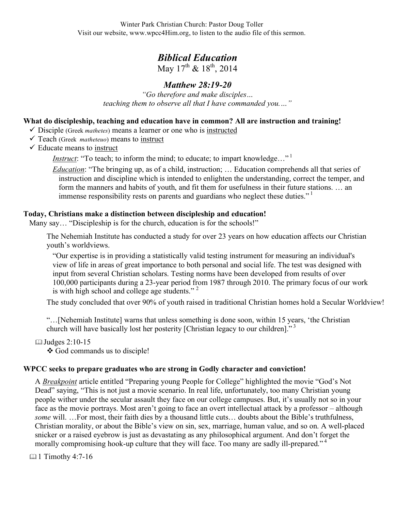Winter Park Christian Church: Pastor Doug Toller Visit our website, www.wpcc4Him.org, to listen to the audio file of this sermon.

# *Biblical Education*

May  $17^{th}$  &  $18^{th}$ , 2014

# *Matthew 28:19-20*

*"Go therefore and make disciples… teaching them to observe all that I have commanded you.…"*

#### **What do discipleship, teaching and education have in common? All are instruction and training!**

- $\checkmark$  Disciple (Greek *mathetes*) means a learner or one who is instructed
- Teach (Greek *matheteuo*) means to instruct
- $\checkmark$  Educate means to instruct

*Instruct*: "To teach; to inform the mind; to educate; to impart knowledge..."<sup>1</sup>

*Education*: "The bringing up, as of a child, instruction; … Education comprehends all that series of instruction and discipline which is intended to enlighten the understanding, correct the temper, and form the manners and habits of youth, and fit them for usefulness in their future stations. … an immense responsibility rests on parents and guardians who neglect these duties."<sup>1</sup>

#### **Today, Christians make a distinction between discipleship and education!**

Many say... "Discipleship is for the church, education is for the schools!"

The Nehemiah Institute has conducted a study for over 23 years on how education affects our Christian youth's worldviews.

"Our expertise is in providing a statistically valid testing instrument for measuring an individual's view of life in areas of great importance to both personal and social life. The test was designed with input from several Christian scholars. Testing norms have been developed from results of over 100,000 participants during a 23-year period from 1987 through 2010. The primary focus of our work is with high school and college age students." $2^2$ 

The study concluded that over 90% of youth raised in traditional Christian homes hold a Secular Worldview!

"…[Nehemiah Institute] warns that unless something is done soon, within 15 years, 'the Christian church will have basically lost her posterity [Christian legacy to our children]."<sup>3</sup>

## Judges 2:10-15

God commands us to disciple!

## **WPCC seeks to prepare graduates who are strong in Godly character and conviction!**

A *Breakpoint* article entitled "Preparing young People for College" highlighted the movie "God's Not Dead" saying, "This is not just a movie scenario. In real life, unfortunately, too many Christian young people wither under the secular assault they face on our college campuses. But, it's usually not so in your face as the movie portrays. Most aren't going to face an overt intellectual attack by a professor – although *some* will. …For most, their faith dies by a thousand little cuts… doubts about the Bible's truthfulness, Christian morality, or about the Bible's view on sin, sex, marriage, human value, and so on. A well-placed snicker or a raised eyebrow is just as devastating as any philosophical argument. And don't forget the morally compromising hook-up culture that they will face. Too many are sadly ill-prepared."<sup>4</sup>

4:7-16